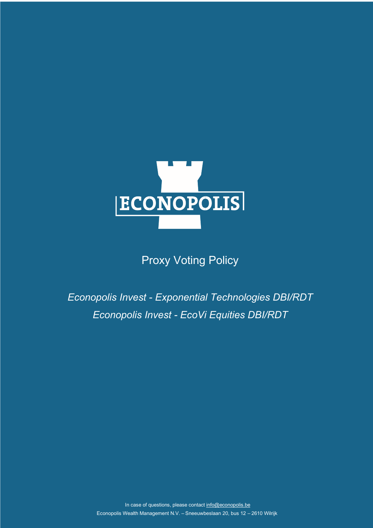

# **Proxy Voting Policy**

*Econopolis Invest - Exponential Technologies DBI/RDT Econopolis Invest - EcoVi Equities DBI/RDT*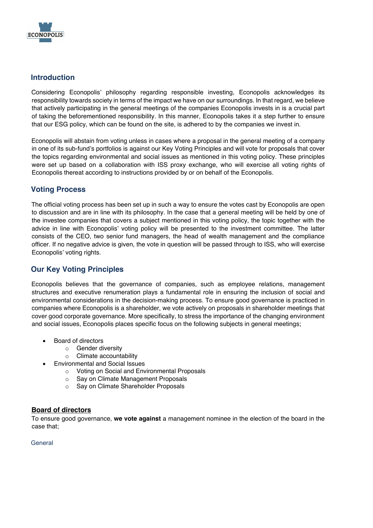

## **Introduction**

Considering Econopolis' philosophy regarding responsible investing, Econopolis acknowledges its responsibility towards society in terms of the impact we have on our surroundings. In that regard, we believe that actively participating in the general meetings of the companies Econopolis invests in is a crucial part of taking the beforementioned responsibility. In this manner, Econopolis takes it a step further to ensure that our ESG policy, which can be found on the site, is adhered to by the companies we invest in.

Econopolis will abstain from voting unless in cases where a proposal in the general meeting of a company in one of its sub-fund's portfolios is against our Key Voting Principles and will vote for proposals that cover the topics regarding environmental and social issues as mentioned in this voting policy. These principles were set up based on a collaboration with ISS proxy exchange, who will exercise all voting rights of Econopolis thereat according to instructions provided by or on behalf of the Econopolis.

## **Voting Process**

The official voting process has been set up in such a way to ensure the votes cast by Econopolis are open to discussion and are in line with its philosophy. In the case that a general meeting will be held by one of the investee companies that covers a subject mentioned in this voting policy, the topic together with the advice in line with Econopolis' voting policy will be presented to the investment committee. The latter consists of the CEO, two senior fund managers, the head of wealth management and the compliance officer. If no negative advice is given, the vote in question will be passed through to ISS, who will exercise Econopolis' voting rights.

## **Our Key Voting Principles**

Econopolis believes that the governance of companies, such as employee relations, management structures and executive renumeration plays a fundamental role in ensuring the inclusion of social and environmental considerations in the decision-making process. To ensure good governance is practiced in companies where Econopolis is a shareholder, we vote actively on proposals in shareholder meetings that cover good corporate governance. More specifically, to stress the importance of the changing environment and social issues, Econopolis places specific focus on the following subjects in general meetings;

- Board of directors
	- o Gender diversity
	- o Climate accountability
- Environmental and Social Issues
	- o Voting on Social and Environmental Proposals
	- o Say on Climate Management Proposals
	- o Say on Climate Shareholder Proposals

## **Board of directors**

To ensure good governance, **we vote against** a management nominee in the election of the board in the case that;

#### **General**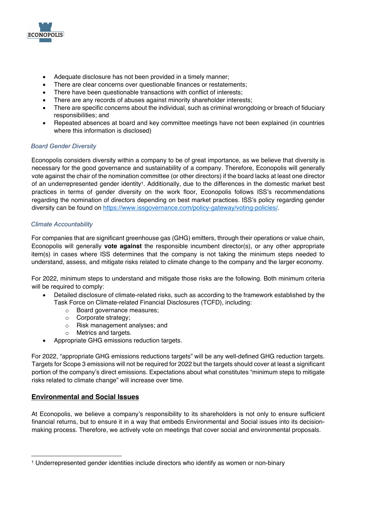

- Adequate disclosure has not been provided in a timely manner;
- There are clear concerns over questionable finances or restatements;
- There have been questionable transactions with conflict of interests;
- There are any records of abuses against minority shareholder interests;
- There are specific concerns about the individual, such as criminal wrongdoing or breach of fiduciary responsibilities; and
- Repeated absences at board and key committee meetings have not been explained (in countries where this information is disclosed)

### *Board Gender Diversity*

Econopolis considers diversity within a company to be of great importance, as we believe that diversity is necessary for the good governance and sustainability of a company. Therefore, Econopolis will generally vote against the chair of the nomination committee (or other directors) if the board lacks at least one director of an underrepresented gender identity1. Additionally, due to the differences in the domestic market best practices in terms of gender diversity on the work floor, Econopolis follows ISS's recommendations regarding the nomination of directors depending on best market practices. ISS's policy regarding gender diversity can be found on https://www.issgovernance.com/policy-gateway/voting-policies/.

#### *Climate Accountability*

For companies that are significant greenhouse gas (GHG) emitters, through their operations or value chain, Econopolis will generally **vote against** the responsible incumbent director(s), or any other appropriate item(s) in cases where ISS determines that the company is not taking the minimum steps needed to understand, assess, and mitigate risks related to climate change to the company and the larger economy.

For 2022, minimum steps to understand and mitigate those risks are the following. Both minimum criteria will be required to comply:

- Detailed disclosure of climate-related risks, such as according to the framework established by the Task Force on Climate-related Financial Disclosures (TCFD), including:
	- o Board governance measures;
	- o Corporate strategy;
	- o Risk management analyses; and
	- o Metrics and targets.
- Appropriate GHG emissions reduction targets.

For 2022, "appropriate GHG emissions reductions targets" will be any well-defined GHG reduction targets. Targets for Scope 3 emissions will not be required for 2022 but the targets should cover at least a significant portion of the company's direct emissions. Expectations about what constitutes "minimum steps to mitigate risks related to climate change" will increase over time.

#### **Environmental and Social Issues**

At Econopolis, we believe a company's responsibility to its shareholders is not only to ensure sufficient financial returns, but to ensure it in a way that embeds Environmental and Social issues into its decisionmaking process. Therefore, we actively vote on meetings that cover social and environmental proposals.

<sup>1</sup> Underrepresented gender identities include directors who identify as women or non-binary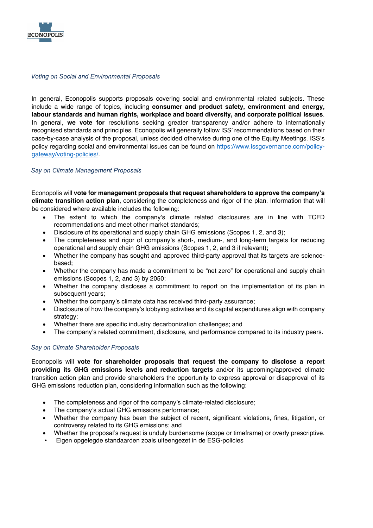

#### *Voting on Social and Environmental Proposals*

In general, Econopolis supports proposals covering social and environmental related subjects. These include a wide range of topics, including **consumer and product safety, environment and energy, labour standards and human rights, workplace and board diversity, and corporate political issues**. In general, **we vote for** resolutions seeking greater transparency and/or adhere to internationally recognised standards and principles. Econopolis will generally follow ISS' recommendations based on their case-by-case analysis of the proposal, unless decided otherwise during one of the Equity Meetings. ISS's policy regarding social and environmental issues can be found on https://www.issgovernance.com/policygateway/voting-policies/.

#### *Say on Climate Management Proposals*

Econopolis will **vote for management proposals that request shareholders to approve the company's climate transition action plan**, considering the completeness and rigor of the plan. Information that will be considered where available includes the following:

- The extent to which the company's climate related disclosures are in line with TCFD recommendations and meet other market standards;
- Disclosure of its operational and supply chain GHG emissions (Scopes 1, 2, and 3);
- The completeness and rigor of company's short-, medium-, and long-term targets for reducing operational and supply chain GHG emissions (Scopes 1, 2, and 3 if relevant);
- Whether the company has sought and approved third-party approval that its targets are sciencebased;
- Whether the company has made a commitment to be "net zero" for operational and supply chain emissions (Scopes 1, 2, and 3) by 2050;
- Whether the company discloses a commitment to report on the implementation of its plan in subsequent years;
- Whether the company's climate data has received third-party assurance;
- Disclosure of how the company's lobbying activities and its capital expenditures align with company strategy;
- Whether there are specific industry decarbonization challenges; and
- The company's related commitment, disclosure, and performance compared to its industry peers.

#### *Say on Climate Shareholder Proposals*

Econopolis will **vote for shareholder proposals that request the company to disclose a report providing its GHG emissions levels and reduction targets** and/or its upcoming/approved climate transition action plan and provide shareholders the opportunity to express approval or disapproval of its GHG emissions reduction plan, considering information such as the following:

- The completeness and rigor of the company's climate-related disclosure;
- The company's actual GHG emissions performance:
- Whether the company has been the subject of recent, significant violations, fines, litigation, or controversy related to its GHG emissions; and
- Whether the proposal's request is unduly burdensome (scope or timeframe) or overly prescriptive.
- Eigen opgelegde standaarden zoals uiteengezet in de ESG-policies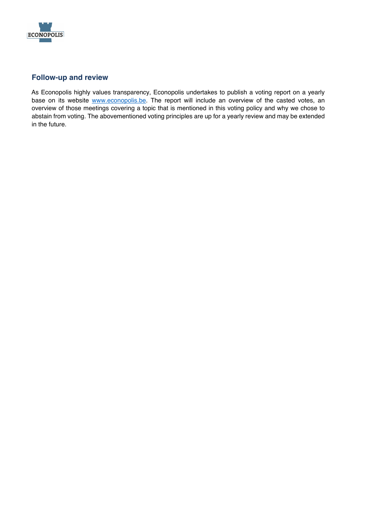

# **Follow-up and review**

As Econopolis highly values transparency, Econopolis undertakes to publish a voting report on a yearly base on its website www.econopolis.be. The report will include an overview of the casted votes, an overview of those meetings covering a topic that is mentioned in this voting policy and why we chose to abstain from voting. The abovementioned voting principles are up for a yearly review and may be extended in the future.